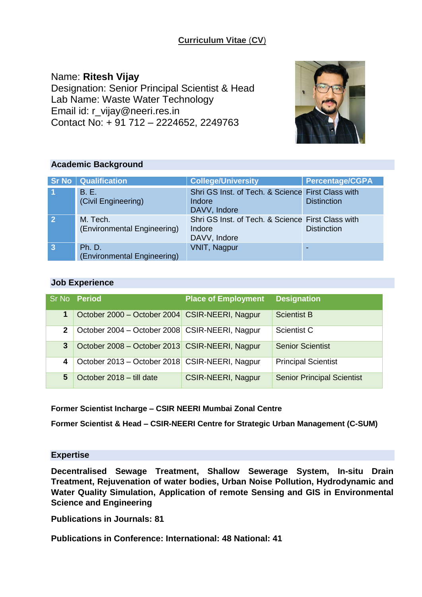# **Curriculum Vitae** (**CV**)

Name: **Ritesh Vijay** Designation: Senior Principal Scientist & Head Lab Name: Waste Water Technology Email id: r\_vijay@neeri.res.in Contact No: + 91 712 – 2224652, 2249763



## **Academic Background**

|                      | <b>Sr No   Qualification</b>                 | <b>College/University</b>                                                   | <b>Percentage/CGPA</b> |
|----------------------|----------------------------------------------|-----------------------------------------------------------------------------|------------------------|
| $\blacktriangleleft$ | B. E.<br>(Civil Engineering)                 | Shri GS Inst. of Tech. & Science First Class with<br>Indore<br>DAVV, Indore | <b>Distinction</b>     |
| $\overline{2}$       | M. Tech.<br>(Environmental Engineering)      | Shri GS Inst. of Tech. & Science First Class with<br>Indore<br>DAVV, Indore | <b>Distinction</b>     |
| $\overline{3}$       | <b>Ph. D.</b><br>(Environmental Engineering) | <b>VNIT, Nagpur</b>                                                         |                        |

## **Job Experience**

|              | Sr No Period                                     | <b>Place of Employment</b> | <b>Designation</b>                |
|--------------|--------------------------------------------------|----------------------------|-----------------------------------|
| 1            | October 2000 – October 2004 CSIR-NEERI, Nagpur   |                            | <b>Scientist B</b>                |
| $\mathbf{2}$ | October 2004 - October 2008   CSIR-NEERI, Nagpur |                            | Scientist C                       |
| 3            | October 2008 – October 2013 CSIR-NEERI, Nagpur   |                            | <b>Senior Scientist</b>           |
| 4            | October 2013 – October 2018   CSIR-NEERI, Nagpur |                            | <b>Principal Scientist</b>        |
| 5            | October 2018 - till date                         | <b>CSIR-NEERI, Nagpur</b>  | <b>Senior Principal Scientist</b> |

**Former Scientist Incharge – CSIR NEERI Mumbai Zonal Centre**

**Former Scientist & Head – CSIR-NEERI Centre for Strategic Urban Management (C-SUM)**

## **Expertise**

**Decentralised Sewage Treatment, Shallow Sewerage System, In-situ Drain Treatment, Rejuvenation of water bodies, Urban Noise Pollution, Hydrodynamic and Water Quality Simulation, Application of remote Sensing and GIS in Environmental Science and Engineering**

**Publications in Journals: 81**

**Publications in Conference: International: 48 National: 41**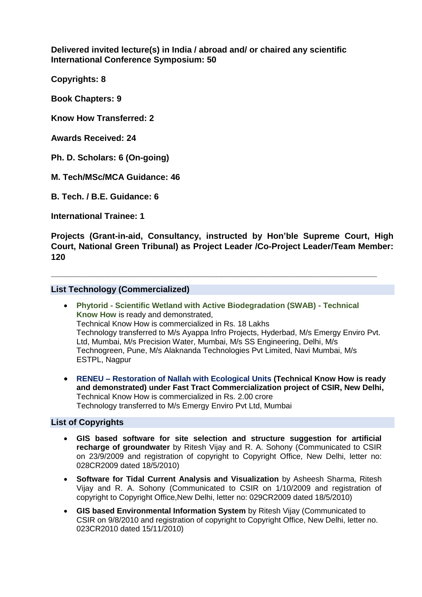**Delivered invited lecture(s) in India / abroad and/ or chaired any scientific International Conference Symposium: 50**

**Copyrights: 8** 

**Book Chapters: 9** 

**Know How Transferred: 2** 

**Awards Received: 24** 

**Ph. D. Scholars: 6 (On-going)** 

**M. Tech/MSc/MCA Guidance: 46**

**B. Tech. / B.E. Guidance: 6** 

**International Trainee: 1**

**Projects (Grant-in-aid, Consultancy, instructed by Hon'ble Supreme Court, High Court, National Green Tribunal) as Project Leader /Co-Project Leader/Team Member: 120**

**\_\_\_\_\_\_\_\_\_\_\_\_\_\_\_\_\_\_\_\_\_\_\_\_\_\_\_\_\_\_\_\_\_\_\_\_\_\_\_\_\_\_\_\_\_\_\_\_\_\_\_\_\_\_\_\_\_\_\_\_\_\_\_\_\_\_\_\_\_**

### **List Technology (Commercialized)**

- **Phytorid - Scientific Wetland with Active Biodegradation (SWAB) - Technical Know How** is ready and demonstrated, Technical Know How is commercialized in Rs. 18 Lakhs Technology transferred to M/s Ayappa Infro Projects, Hyderbad, M/s Emergy Enviro Pvt. Ltd, Mumbai, M/s Precision Water, Mumbai, M/s SS Engineering, Delhi, M/s Technogreen, Pune, M/s Alaknanda Technologies Pvt Limited, Navi Mumbai, M/s ESTPL, Nagpur
- **RENEU – Restoration of Nallah with Ecological Units (Technical Know How is ready and demonstrated) under Fast Tract Commercialization project of CSIR, New Delhi,**  Technical Know How is commercialized in Rs. 2.00 crore Technology transferred to M/s Emergy Enviro Pvt Ltd, Mumbai

### **List of Copyrights**

- **GIS based software for site selection and structure suggestion for artificial recharge of groundwater** by Ritesh Vijay and R. A. Sohony (Communicated to CSIR on 23/9/2009 and registration of copyright to Copyright Office, New Delhi, letter no: 028CR2009 dated 18/5/2010)
- **Software for Tidal Current Analysis and Visualization** by Asheesh Sharma, Ritesh Vijay and R. A. Sohony (Communicated to CSIR on 1/10/2009 and registration of copyright to Copyright Office,New Delhi, letter no: 029CR2009 dated 18/5/2010)
- **GIS based Environmental Information System** by Ritesh Vijay (Communicated to CSIR on 9/8/2010 and registration of copyright to Copyright Office, New Delhi, letter no. 023CR2010 dated 15/11/2010)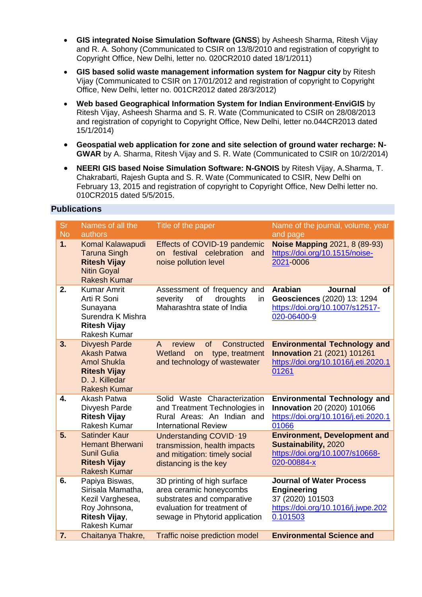- **GIS integrated Noise Simulation Software (GNSS**) by Asheesh Sharma, Ritesh Vijay and R. A. Sohony (Communicated to CSIR on 13/8/2010 and registration of copyright to Copyright Office, New Delhi, letter no. 020CR2010 dated 18/1/2011)
- **GIS based solid waste management information system for Nagpur city** by Ritesh Vijay (Communicated to CSIR on 17/01/2012 and registration of copyright to Copyright Office, New Delhi, letter no. 001CR2012 dated 28/3/2012)
- **Web based Geographical Information System for Indian Environment**-**EnviGIS** by Ritesh Vijay, Asheesh Sharma and S. R. Wate (Communicated to CSIR on 28/08/2013 and registration of copyright to Copyright Office, New Delhi, letter no.044CR2013 dated 15/1/2014)
- **Geospatial web application for zone and site selection of ground water recharge: N-GWAR** by A. Sharma, Ritesh Vijay and S. R. Wate (Communicated to CSIR on 10/2/2014)
- **NEERI GIS based Noise Simulation Software: N-GNOIS** by Ritesh Vijay, A.Sharma, T. Chakrabarti, Rajesh Gupta and S. R. Wate (Communicated to CSIR, New Delhi on February 13, 2015 and registration of copyright to Copyright Office, New Delhi letter no. 010CR2015 dated 5/5/2015.

## **Publications**

| <b>Sr</b><br><b>No</b> | Names of all the<br>authors                                                                                                      | Title of the paper                                                                                                                                    | Name of the journal, volume, year<br>and page                                                                                  |
|------------------------|----------------------------------------------------------------------------------------------------------------------------------|-------------------------------------------------------------------------------------------------------------------------------------------------------|--------------------------------------------------------------------------------------------------------------------------------|
| 1.                     | Komal Kalawapudi<br><b>Taruna Singh</b><br><b>Ritesh Vijay</b><br><b>Nitin Goyal</b><br><b>Rakesh Kumar</b>                      | Effects of COVID-19 pandemic<br>on festival celebration<br>and<br>noise pollution level                                                               | <b>Noise Mapping 2021, 8 (89-93)</b><br>https://doi.org/10.1515/noise-<br>2021-0006                                            |
| 2.                     | <b>Kumar Amrit</b><br>Arti R Soni<br>Sunayana<br>Surendra K Mishra<br><b>Ritesh Vijay</b><br><b>Rakesh Kumar</b>                 | Assessment of frequency and<br>severity<br>droughts<br>of<br>in<br>Maharashtra state of India                                                         | <b>Arabian</b><br><b>Journal</b><br><b>of</b><br>Geosciences (2020) 13: 1294<br>https://doi.org/10.1007/s12517-<br>020-06400-9 |
| 3.                     | <b>Divyesh Parde</b><br><b>Akash Patwa</b><br><b>Amol Shukla</b><br><b>Ritesh Vijay</b><br>D. J. Killedar<br><b>Rakesh Kumar</b> | of<br>Constructed<br>A<br>review<br>Wetland<br>type, treatment<br>on<br>and technology of wastewater                                                  | <b>Environmental Technology and</b><br><b>Innovation 21 (2021) 101261</b><br>https://doi.org/10.1016/j.eti.2020.1<br>01261     |
| 4.                     | Akash Patwa<br>Divyesh Parde<br><b>Ritesh Vijay</b><br>Rakesh Kumar                                                              | Solid Waste Characterization<br>and Treatment Technologies in<br>Rural Areas: An Indian and<br><b>International Review</b>                            | <b>Environmental Technology and</b><br>Innovation 20 (2020) 101066<br>https://doi.org/10.1016/j.eti.2020.1<br>01066            |
| 5.                     | <b>Satinder Kaur</b><br><b>Hemant Bherwani</b><br><b>Sunil Gulia</b><br><b>Ritesh Vijay</b><br><b>Rakesh Kumar</b>               | <b>Understanding COVID-19</b><br>transmission, health impacts<br>and mitigation: timely social<br>distancing is the key                               | <b>Environment, Development and</b><br><b>Sustainability, 2020</b><br>https://doi.org/10.1007/s10668-<br>020-00884-x           |
| 6.                     | Papiya Biswas,<br>Sirisala Mamatha,<br>Kezil Varghesea,<br>Roy Johnsona,<br>Ritesh Vijay,<br><b>Rakesh Kumar</b>                 | 3D printing of high surface<br>area ceramic honeycombs<br>substrates and comparative<br>evaluation for treatment of<br>sewage in Phytorid application | <b>Journal of Water Process</b><br><b>Engineering</b><br>37 (2020) 101503<br>https://doi.org/10.1016/j.jwpe.202<br>0.101503    |
| $\overline{7}$ .       | Chaitanya Thakre,                                                                                                                | <b>Traffic noise prediction model</b>                                                                                                                 | <b>Environmental Science and</b>                                                                                               |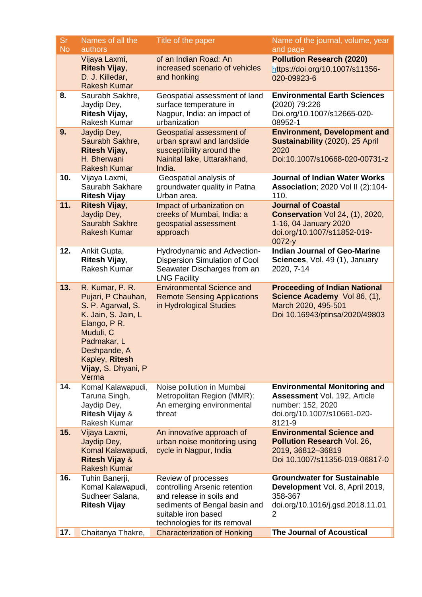| <b>Sr</b><br><b>No</b> | Names of all the<br>authors                                                                                                                                                                     | Title of the paper                                                                                                                                                       | Name of the journal, volume, year<br>and page                                                                                            |
|------------------------|-------------------------------------------------------------------------------------------------------------------------------------------------------------------------------------------------|--------------------------------------------------------------------------------------------------------------------------------------------------------------------------|------------------------------------------------------------------------------------------------------------------------------------------|
|                        | Vijaya Laxmi,<br><b>Ritesh Vijay,</b><br>D. J. Killedar,<br><b>Rakesh Kumar</b>                                                                                                                 | of an Indian Road: An<br>increased scenario of vehicles<br>and honking                                                                                                   | <b>Pollution Research (2020)</b><br>https://doi.org/10.1007/s11356-<br>020-09923-6                                                       |
| 8.                     | Saurabh Sakhre,<br>Jaydip Dey,<br>Ritesh Vijay,<br>Rakesh Kumar                                                                                                                                 | Geospatial assessment of land<br>surface temperature in<br>Nagpur, India: an impact of<br>urbanization                                                                   | <b>Environmental Earth Sciences</b><br>(2020) 79:226<br>Doi.org/10.1007/s12665-020-<br>08952-1                                           |
| 9.                     | Jaydip Dey,<br>Saurabh Sakhre,<br><b>Ritesh Vijay,</b><br>H. Bherwani<br><b>Rakesh Kumar</b>                                                                                                    | <b>Geospatial assessment of</b><br>urban sprawl and landslide<br>susceptibility around the<br>Nainital lake, Uttarakhand,<br>India.                                      | <b>Environment, Development and</b><br>Sustainability (2020). 25 April<br>2020<br>Doi:10.1007/s10668-020-00731-z                         |
| 10.                    | Vijaya Laxmi,<br>Saurabh Sakhare<br><b>Ritesh Vijay</b>                                                                                                                                         | Geospatial analysis of<br>groundwater quality in Patna<br>Urban area.                                                                                                    | <b>Journal of Indian Water Works</b><br>Association; 2020 Vol II (2):104-<br>110.                                                        |
| 11.                    | <b>Ritesh Vijay,</b><br>Jaydip Dey,<br><b>Saurabh Sakhre</b><br><b>Rakesh Kumar</b>                                                                                                             | Impact of urbanization on<br>creeks of Mumbai, India: a<br>geospatial assessment<br>approach                                                                             | <b>Journal of Coastal</b><br><b>Conservation Vol 24, (1), 2020,</b><br>1-16, 04 January 2020<br>doi.org/10.1007/s11852-019-<br>$0072-y$  |
| 12.                    | Ankit Gupta,<br>Ritesh Vijay,<br>Rakesh Kumar                                                                                                                                                   | Hydrodynamic and Advection-<br>Dispersion Simulation of Cool<br>Seawater Discharges from an<br><b>LNG Facility</b>                                                       | <b>Indian Journal of Geo-Marine</b><br>Sciences, Vol. 49 (1), January<br>2020, 7-14                                                      |
| 13.                    | R. Kumar, P. R.<br>Pujari, P Chauhan,<br>S. P. Agarwal, S.<br>K. Jain, S. Jain, L<br>Elango, P R.<br>Muduli, C<br>Padmakar, L<br>Deshpande, A<br>Kapley, Ritesh<br>Vijay, S. Dhyani, P<br>Verma | <b>Environmental Science and</b><br><b>Remote Sensing Applications</b><br>in Hydrological Studies                                                                        | <b>Proceeding of Indian National</b><br>Science Academy Vol 86, (1),<br>March 2020, 495-501<br>Doi 10.16943/ptinsa/2020/49803            |
| 14.                    | Komal Kalawapudi,<br>Taruna Singh,<br>Jaydip Dey,<br><b>Ritesh Vijay &amp;</b><br><b>Rakesh Kumar</b>                                                                                           | Noise pollution in Mumbai<br>Metropolitan Region (MMR):<br>An emerging environmental<br>threat                                                                           | <b>Environmental Monitoring and</b><br><b>Assessment Vol. 192, Article</b><br>number: 152, 2020<br>doi.org/10.1007/s10661-020-<br>8121-9 |
| 15.                    | Vijaya Laxmi,<br>Jaydip Dey,<br>Komal Kalawapudi,<br><b>Ritesh Vijay &amp;</b><br><b>Rakesh Kumar</b>                                                                                           | An innovative approach of<br>urban noise monitoring using<br>cycle in Nagpur, India                                                                                      | <b>Environmental Science and</b><br><b>Pollution Research Vol. 26,</b><br>2019, 36812-36819<br>Doi 10.1007/s11356-019-06817-0            |
| 16.                    | Tuhin Banerji,<br>Komal Kalawapudi,<br>Sudheer Salana,<br><b>Ritesh Vijay</b>                                                                                                                   | Review of processes<br>controlling Arsenic retention<br>and release in soils and<br>sediments of Bengal basin and<br>suitable iron based<br>technologies for its removal | <b>Groundwater for Sustainable</b><br>Development Vol. 8, April 2019,<br>358-367<br>doi.org/10.1016/j.gsd.2018.11.01<br>2                |
| 17.                    | Chaitanya Thakre,                                                                                                                                                                               | <b>Characterization of Honking</b>                                                                                                                                       | <b>The Journal of Acoustical</b>                                                                                                         |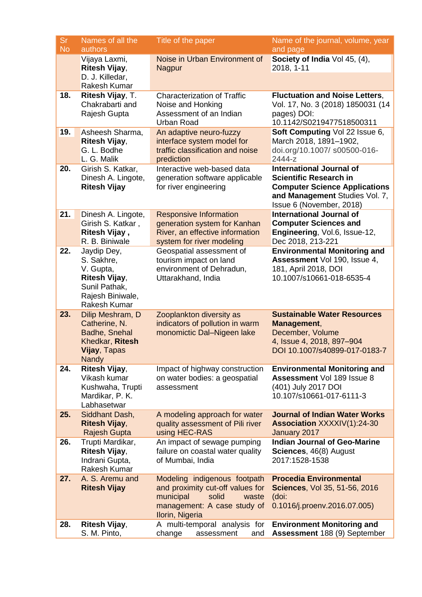| <b>Sr</b><br><b>No</b> | Names of all the<br>authors                                                                                         | Title of the paper                                                                                                                                | Name of the journal, volume, year<br>and page                                                                                                                          |
|------------------------|---------------------------------------------------------------------------------------------------------------------|---------------------------------------------------------------------------------------------------------------------------------------------------|------------------------------------------------------------------------------------------------------------------------------------------------------------------------|
|                        | Vijaya Laxmi,<br>Ritesh Vijay,<br>D. J. Killedar,<br>Rakesh Kumar                                                   | Noise in Urban Environment of<br><b>Nagpur</b>                                                                                                    | Society of India Vol 45, (4),<br>2018, 1-11                                                                                                                            |
| 18.                    | Ritesh Vijay, T.<br>Chakrabarti and<br>Rajesh Gupta                                                                 | <b>Characterization of Traffic</b><br>Noise and Honking<br>Assessment of an Indian<br><b>Urban Road</b>                                           | <b>Fluctuation and Noise Letters,</b><br>Vol. 17, No. 3 (2018) 1850031 (14<br>pages) DOI:<br>10.1142/S0219477518500311                                                 |
| 19.                    | Asheesh Sharma,<br><b>Ritesh Vijay,</b><br>G. L. Bodhe<br>L. G. Malik                                               | An adaptive neuro-fuzzy<br>interface system model for<br>traffic classification and noise<br>prediction                                           | Soft Computing Vol 22 Issue 6,<br>March 2018, 1891-1902,<br>doi.org/10.1007/ s00500-016-<br>2444-z                                                                     |
| 20.                    | Girish S. Katkar,<br>Dinesh A. Lingote,<br><b>Ritesh Vijay</b>                                                      | Interactive web-based data<br>generation software applicable<br>for river engineering                                                             | <b>International Journal of</b><br><b>Scientific Research in</b><br><b>Computer Science Applications</b><br>and Management Studies Vol. 7,<br>Issue 6 (November, 2018) |
| 21.                    | Dinesh A. Lingote,<br>Girish S. Katkar,<br>Ritesh Vijay,<br>R. B. Biniwale                                          | <b>Responsive Information</b><br>generation system for Kanhan<br>River, an effective information<br>system for river modeling                     | <b>International Journal of</b><br><b>Computer Sciences and</b><br>Engineering, Vol.6, Issue-12,<br>Dec 2018, 213-221                                                  |
| 22.                    | Jaydip Dey,<br>S. Sakhre,<br>V. Gupta,<br>Ritesh Vijay,<br>Sunil Pathak,<br>Rajesh Biniwale,<br><b>Rakesh Kumar</b> | Geospatial assessment of<br>tourism impact on land<br>environment of Dehradun,<br>Uttarakhand, India                                              | <b>Environmental Monitoring and</b><br>Assessment Vol 190, Issue 4,<br>181, April 2018, DOI<br>10.1007/s10661-018-6535-4                                               |
| 23.                    | Dilip Meshram, D<br>Catherine, N.<br>Badhe, Snehal<br>Khedkar, Ritesh<br>Vijay, Tapas<br><b>Nandy</b>               | Zooplankton diversity as<br>indicators of pollution in warm<br>monomictic Dal-Nigeen lake                                                         | <b>Sustainable Water Resources</b><br>Management,<br>December, Volume<br>4, Issue 4, 2018, 897-904<br>DOI 10.1007/s40899-017-0183-7                                    |
| 24.                    | Ritesh Vijay,<br>Vikash kumar<br>Kushwaha, Trupti<br>Mardikar, P. K.<br>Labhasetwar                                 | Impact of highway construction<br>on water bodies: a geospatial<br>assessment                                                                     | <b>Environmental Monitoring and</b><br>Assessment Vol 189 Issue 8<br>(401) July 2017 DOI<br>10.107/s10661-017-6111-3                                                   |
| 25.                    | Siddhant Dash,<br><b>Ritesh Vijay,</b><br><b>Rajesh Gupta</b>                                                       | A modeling approach for water<br>quality assessment of Pili river<br>using HEC-RAS                                                                | <b>Journal of Indian Water Works</b><br><b>Association XXXXIV(1):24-30</b><br>January 2017                                                                             |
| 26.                    | Trupti Mardikar,<br>Ritesh Vijay,<br>Indrani Gupta,<br>Rakesh Kumar                                                 | An impact of sewage pumping<br>failure on coastal water quality<br>of Mumbai, India                                                               | <b>Indian Journal of Geo-Marine</b><br>Sciences, 46(8) August<br>2017:1528-1538                                                                                        |
| 27.                    | A. S. Aremu and<br><b>Ritesh Vijay</b>                                                                              | Modeling indigenous footpath<br>and proximity cut-off values for<br>municipal<br>solid<br>waste<br>management: A case study of<br>Ilorin, Nigeria | <b>Procedia Environmental</b><br>Sciences, Vol 35, 51-56, 2016<br>(doi:<br>0.1016/j.proenv.2016.07.005)                                                                |
| 28.                    | <b>Ritesh Vijay,</b><br>S. M. Pinto,                                                                                | A multi-temporal analysis for<br>change<br>assessment<br>and                                                                                      | <b>Environment Monitoring and</b><br>Assessment 188 (9) September                                                                                                      |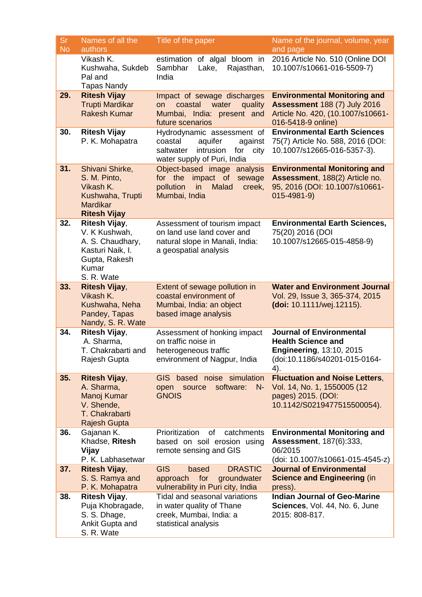| <b>Sr</b><br><b>No</b> | Names of all the<br>authors                                                                                    | Title of the paper                                                                                                                  | Name of the journal, volume, year<br>and page                                                                                         |
|------------------------|----------------------------------------------------------------------------------------------------------------|-------------------------------------------------------------------------------------------------------------------------------------|---------------------------------------------------------------------------------------------------------------------------------------|
|                        | Vikash K.<br>Kushwaha, Sukdeb<br>Pal and<br><b>Tapas Nandy</b>                                                 | estimation of algal bloom in<br>Sambhar<br>Lake,<br>Rajasthan,<br>India                                                             | 2016 Article No. 510 (Online DOI<br>10.1007/s10661-016-5509-7)                                                                        |
| 29.                    | <b>Ritesh Vijay</b><br><b>Trupti Mardikar</b><br><b>Rakesh Kumar</b>                                           | Impact of sewage discharges<br>coastal<br>water<br>quality<br>on<br>Mumbai, India: present and<br>future scenarios                  | <b>Environmental Monitoring and</b><br><b>Assessment 188 (7) July 2016</b><br>Article No. 420, (10.1007/s10661-<br>016-5418-9 online) |
| 30.                    | <b>Ritesh Vijay</b><br>P. K. Mohapatra                                                                         | Hydrodynamic assessment of<br>coastal<br>aquifer<br>against<br>intrusion<br>for<br>saltwater<br>city<br>water supply of Puri, India | <b>Environmental Earth Sciences</b><br>75(7) Article No. 588, 2016 (DOI:<br>10.1007/s12665-016-5357-3).                               |
| 31.                    | Shivani Shirke,<br>S. M. Pinto,<br>Vikash K.<br>Kushwaha, Trupti<br><b>Mardikar</b><br><b>Ritesh Vijay</b>     | Object-based image analysis<br>impact of<br>for the<br>sewage<br>pollution<br>Malad<br>in<br>creek,<br>Mumbai, India                | <b>Environmental Monitoring and</b><br>Assessment, 188(2) Article no.<br>95, 2016 (DOI: 10.1007/s10661-<br>$015 - 4981 - 9$           |
| 32.                    | Ritesh Vijay,<br>V. K Kushwah,<br>A. S. Chaudhary,<br>Kasturi Naik, I.<br>Gupta, Rakesh<br>Kumar<br>S. R. Wate | Assessment of tourism impact<br>on land use land cover and<br>natural slope in Manali, India:<br>a geospatial analysis              | <b>Environmental Earth Sciences,</b><br>75(20) 2016 (DOI<br>10.1007/s12665-015-4858-9)                                                |
| 33.                    | <b>Ritesh Vijay,</b><br>Vikash K.<br>Kushwaha, Neha<br>Pandey, Tapas<br>Nandy, S. R. Wate                      | Extent of sewage pollution in<br>coastal environment of<br>Mumbai, India: an object<br>based image analysis                         | <b>Water and Environment Journal</b><br>Vol. 29, Issue 3, 365-374, 2015<br>(doi: 10.1111/wej.12115).                                  |
| 34.                    | Ritesh Vijay,<br>A. Sharma,<br>T. Chakrabarti and<br>Rajesh Gupta                                              | Assessment of honking impact<br>on traffic noise in<br>heterogeneous traffic<br>environment of Nagpur, India                        | <b>Journal of Environmental</b><br><b>Health Science and</b><br>Engineering, 13:10, 2015<br>(doi:10.1186/s40201-015-0164-<br>4).      |
| 35.                    | <b>Ritesh Vijay,</b><br>A. Sharma,<br>Manoj Kumar<br>V. Shende,<br>T. Chakrabarti<br><b>Rajesh Gupta</b>       | GIS based noise simulation<br>software:<br>$N -$<br>open source<br><b>GNOIS</b>                                                     | <b>Fluctuation and Noise Letters,</b><br>Vol. 14, No. 1, 1550005 (12<br>pages) 2015. (DOI:<br>10.1142/S0219477515500054).             |
| 36.                    | Gajanan K.<br>Khadse, Ritesh<br>Vijay<br>P. K. Labhasetwar                                                     | Prioritization<br>catchments<br>of<br>based on soil erosion using<br>remote sensing and GIS                                         | <b>Environmental Monitoring and</b><br><b>Assessment, 187(6):333,</b><br>06/2015<br>(doi: 10.1007/s10661-015-4545-z)                  |
| 37.                    | <b>Ritesh Vijay,</b><br>S. S. Ramya and<br>P. K. Mohapatra                                                     | <b>GIS</b><br><b>DRASTIC</b><br>based<br>for<br>groundwater<br>approach<br>vulnerability in Puri city, India                        | <b>Journal of Environmental</b><br><b>Science and Engineering (in</b><br>press).                                                      |
| 38.                    | Ritesh Vijay,<br>Puja Khobragade,<br>S. S. Dhage,<br>Ankit Gupta and<br>S. R. Wate                             | Tidal and seasonal variations<br>in water quality of Thane<br>creek, Mumbai, India: a<br>statistical analysis                       | <b>Indian Journal of Geo-Marine</b><br>Sciences, Vol. 44, No. 6, June<br>2015: 808-817.                                               |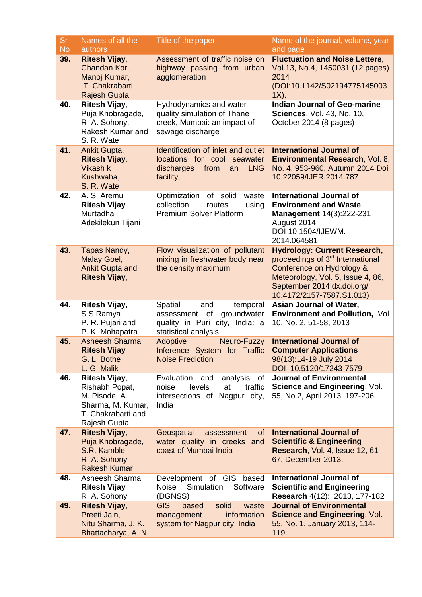| <b>Sr</b><br><b>No</b> | Names of all the<br>authors                                                                                        | Title of the paper                                                                                                          | Name of the journal, volume, year<br>and page                                                                                                                                                                    |
|------------------------|--------------------------------------------------------------------------------------------------------------------|-----------------------------------------------------------------------------------------------------------------------------|------------------------------------------------------------------------------------------------------------------------------------------------------------------------------------------------------------------|
| 39.                    | <b>Ritesh Vijay,</b><br>Chandan Kori,<br>Manoj Kumar,<br>T. Chakrabarti<br><b>Rajesh Gupta</b>                     | Assessment of traffic noise on<br>highway passing from urban<br>agglomeration                                               | <b>Fluctuation and Noise Letters,</b><br>Vol.13, No.4, 1450031 (12 pages)<br>2014<br>(DOI:10.1142/S02194775145003<br>$1X$ ).                                                                                     |
| 40.                    | Ritesh Vijay,<br>Puja Khobragade,<br>R. A. Sohony,<br>Rakesh Kumar and<br>S. R. Wate                               | Hydrodynamics and water<br>quality simulation of Thane<br>creek, Mumbai: an impact of<br>sewage discharge                   | <b>Indian Journal of Geo-marine</b><br><b>Sciences, Vol. 43, No. 10,</b><br>October 2014 (8 pages)                                                                                                               |
| 41.                    | Ankit Gupta,<br><b>Ritesh Vijay,</b><br>Vikash k<br>Kushwaha,<br>S. R. Wate                                        | Identification of inlet and outlet<br>locations for cool<br>seawater<br>discharges<br>from<br><b>LNG</b><br>an<br>facility, | <b>International Journal of</b><br>Environmental Research, Vol. 8,<br>No. 4, 953-960, Autumn 2014 Doi<br>10.22059/IJER.2014.787                                                                                  |
| 42.                    | A. S. Aremu<br><b>Ritesh Vijay</b><br>Murtadha<br>Adekilekun Tijani                                                | Optimization<br>of<br>solid<br>waste<br>collection<br>using<br>routes<br><b>Premium Solver Platform</b>                     | <b>International Journal of</b><br><b>Environment and Waste</b><br>Management 14(3):222-231<br>August 2014<br>DOI 10.1504/IJEWM.<br>2014.064581                                                                  |
| 43.                    | Tapas Nandy,<br>Malay Goel,<br><b>Ankit Gupta and</b><br><b>Ritesh Vijay,</b>                                      | Flow visualization of pollutant<br>mixing in freshwater body near<br>the density maximum                                    | <b>Hydrology: Current Research,</b><br>proceedings of 3 <sup>rd</sup> International<br>Conference on Hydrology &<br>Meteorology, Vol. 5, Issue 4, 86,<br>September 2014 dx.doi.org/<br>10.4172/2157-7587.S1.013) |
| 44.                    | Ritesh Vijay,<br>S S Ramya<br>P. R. Pujari and<br>P. K. Mohapatra                                                  | Spatial<br>temporal<br>and<br>groundwater<br>assessment of<br>quality in Puri city, India: a<br>statistical analysis        | Asian Journal of Water,<br>Environment and Pollution, Vol<br>10, No. 2, 51-58, 2013                                                                                                                              |
| 45.                    | <b>Asheesh Sharma</b><br><b>Ritesh Vijay</b><br>G. L. Bothe<br>L. G. Malik                                         | Adoptive<br>Neuro-Fuzzy<br>Inference System for Traffic<br><b>Noise Prediction</b>                                          | <b>International Journal of</b><br><b>Computer Applications</b><br>98(13):14-19 July 2014<br>DOI 10.5120/17243-7579                                                                                              |
| 46.                    | <b>Ritesh Vijay,</b><br>Rishabh Popat,<br>M. Pisode, A.<br>Sharma, M. Kumar,<br>T. Chakrabarti and<br>Rajesh Gupta | Evaluation and<br>analysis<br>of<br>levels<br>noise<br>at<br>traffic<br>intersections of Nagpur city,<br>India              | <b>Journal of Environmental</b><br>Science and Engineering, Vol.<br>55, No.2, April 2013, 197-206.                                                                                                               |
| 47.                    | <b>Ritesh Vijay,</b><br>Puja Khobragade,<br>S.R. Kamble,<br>R. A. Sohony<br><b>Rakesh Kumar</b>                    | Geospatial<br>of<br>assessment<br>water quality in creeks and<br>coast of Mumbai India                                      | <b>International Journal of</b><br><b>Scientific &amp; Engineering</b><br>Research, Vol. 4, Issue 12, 61-<br>67, December-2013.                                                                                  |
| 48.                    | Asheesh Sharma<br><b>Ritesh Vijay</b><br>R. A. Sohony                                                              | Development of GIS based<br>Simulation<br><b>Noise</b><br>Software<br>(DGNSS)                                               | <b>International Journal of</b><br><b>Scientific and Engineering</b><br>Research 4(12): 2013, 177-182                                                                                                            |
| 49.                    | <b>Ritesh Vijay,</b><br>Preeti Jain,<br>Nitu Sharma, J. K.<br>Bhattacharya, A. N.                                  | <b>GIS</b><br>based<br>solid<br>waste<br>information<br>management<br>system for Nagpur city, India                         | <b>Journal of Environmental</b><br><b>Science and Engineering, Vol.</b><br>55, No. 1, January 2013, 114-<br>119.                                                                                                 |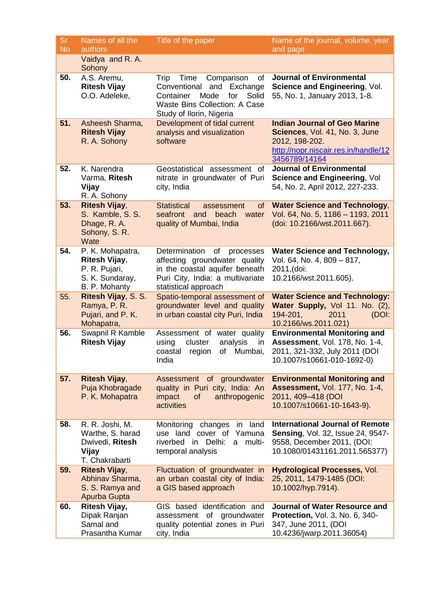| <b>Sr</b><br><b>No</b> | Names of all the<br>authors                                                            | Title of the paper                                                                                                                                                           | Name of the journal, volume, year<br>and page                                                                                                     |
|------------------------|----------------------------------------------------------------------------------------|------------------------------------------------------------------------------------------------------------------------------------------------------------------------------|---------------------------------------------------------------------------------------------------------------------------------------------------|
|                        | Vaidya and R. A.<br>Sohony                                                             |                                                                                                                                                                              |                                                                                                                                                   |
| 50.                    | A.S. Aremu,<br><b>Ritesh Vijay</b><br>O.O. Adeleke,                                    | Trip<br>Time<br>Comparison<br>of<br>Exchange<br>Conventional<br>and<br>Mode<br>Solid<br>Container<br>for<br><b>Waste Bins Collection: A Case</b><br>Study of Ilorin, Nigeria | <b>Journal of Environmental</b><br>Science and Engineering, Vol.<br>55, No. 1, January 2013, 1-8.                                                 |
| 51.                    | Asheesh Sharma,<br><b>Ritesh Vijay</b><br>R. A. Sohony                                 | Development of tidal current<br>analysis and visualization<br>software                                                                                                       | <b>Indian Journal of Geo Marine</b><br>Sciences, Vol. 41, No. 3, June<br>2012, 198-202.<br>http://nopr.niscair.res.in/handle/12<br>3456789/14164  |
| 52.                    | K. Narendra<br>Varma, Ritesh<br>Vijay<br>R. A. Sohony                                  | Geostatistical assessment<br>of<br>nitrate in groundwater of Puri<br>city, India                                                                                             | <b>Journal of Environmental</b><br>Science and Engineering, Vol<br>54, No. 2, April 2012, 227-233.                                                |
| 53.                    | <b>Ritesh Vijay,</b><br>S. Kamble, S. S.<br>Dhage, R. A.<br>Sohony, S. R.<br>Wate      | <b>Statistical</b><br>of<br>assessment<br>seafront<br>and<br>beach<br>water<br>quality of Mumbai, India                                                                      | <b>Water Science and Technology,</b><br>Vol. 64, No. 5, 1186 - 1193, 2011<br>(doi: 10.2166/wst.2011.667).                                         |
| 54.                    | P. K. Mohapatra,<br>Ritesh Vijay,<br>P. R. Pujari,<br>S. K. Sundaray,<br>B. P. Mohanty | Determination<br>of<br>processes<br>affecting groundwater quality<br>in the coastal aquifer beneath<br>Puri City, India: a multivariate<br>statistical approach              | <b>Water Science and Technology,</b><br>Vol. 64, No. 4, 809 - 817,<br>2011,(doi:<br>10.2166/wst.2011.605).                                        |
| 55.                    | Ritesh Vijay, S. S.<br>Ramya, P. R.<br>Pujari, and P. K.<br>Mohapatra,                 | Spatio-temporal assessment of<br>groundwater level and quality<br>in urban coastal city Puri, India                                                                          | <b>Water Science and Technology:</b><br>Water Supply, Vol 11. No. (2),<br>194-201,<br>2011<br>(DOI:<br>10.2166/ws.2011.021)                       |
| 56.                    | Swapnil R Kamble<br><b>Ritesh Vijay</b>                                                | Assessment of water quality<br>cluster<br>using<br>analysis<br>in<br>of Mumbai,<br>coastal<br>region<br>India                                                                | <b>Environmental Monitoring and</b><br><b>Assessment, Vol. 178, No. 1-4,</b><br>2011, 321-332, July 2011 (DOI<br>10.1007/s10661-010-1692-0)       |
| 57.                    | <b>Ritesh Vijay,</b><br>Puja Khobragade<br>P. K. Mohapatra                             | Assessment of groundwater<br>quality in Puri city, India: An<br>anthropogenic<br>impact<br>of<br>activities                                                                  | <b>Environmental Monitoring and</b><br><b>Assessment, Vol. 177, No. 1-4,</b><br>2011, 409-418 (DOI<br>10.1007/s10661-10-1643-9).                  |
| 58.                    | R. R. Joshi, M.<br>Warthe, S. harad<br>Dwivedi, Ritesh<br>Vijay<br>T. Chakrabarti      | Monitoring<br>land<br>changes<br>in<br>use land cover of<br>Yamuna<br>riverbed in<br>Delhi:<br>multi-<br>a<br>temporal analysis                                              | <b>International Journal of Remote</b><br><b>Sensing, Vol. 32, Issue 24, 9547-</b><br>9558, December 2011, (DOI:<br>10.1080/01431161.2011.565377) |
| 59.                    | <b>Ritesh Vijay,</b><br>Abhinav Sharma,<br>S. S. Ramya and<br>Apurba Gupta             | Fluctuation of groundwater in<br>an urban coastal city of India:<br>a GIS based approach                                                                                     | <b>Hydrological Processes, Vol.</b><br>25, 2011, 1479-1485 (DOI:<br>10.1002/hyp.7914).                                                            |
| 60.                    | Ritesh Vijay,<br>Dipak Ranjan<br>Samal and<br>Prasantha Kumar                          | GIS based identification and<br>assessment of groundwater<br>quality potential zones in Puri<br>city, India                                                                  | <b>Journal of Water Resource and</b><br>Protection, Vol. 3, No. 6, 340-<br>347, June 2011, (DOI<br>10.4236/jwarp.2011.36054)                      |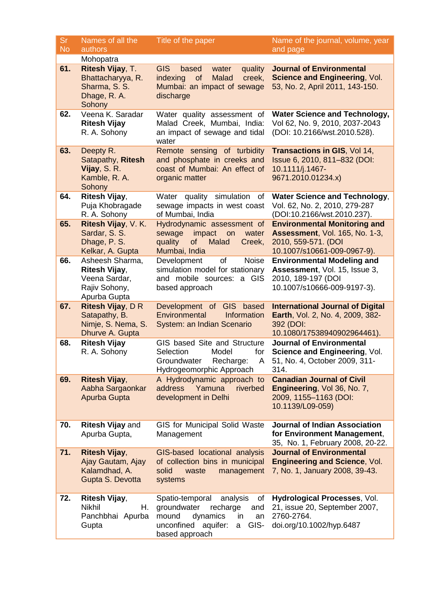| <b>Sr</b> | Names of all the                                                                   | Title of the paper                                                                                                                                          | Name of the journal, volume, year                                                                                                  |
|-----------|------------------------------------------------------------------------------------|-------------------------------------------------------------------------------------------------------------------------------------------------------------|------------------------------------------------------------------------------------------------------------------------------------|
| <b>No</b> | authors<br>Mohopatra                                                               |                                                                                                                                                             | and page                                                                                                                           |
| 61.       | Ritesh Vijay, T.<br>Bhattacharyya, R.<br>Sharma, S. S.<br>Dhage, R. A.<br>Sohony   | <b>GIS</b><br>based<br>quality<br>water<br><b>Malad</b><br>indexing<br>of<br>creek,<br>Mumbai: an impact of sewage<br>discharge                             | <b>Journal of Environmental</b><br>Science and Engineering, Vol.<br>53, No. 2, April 2011, 143-150.                                |
| 62.       | Veena K. Saradar<br><b>Ritesh Vijay</b><br>R. A. Sohony                            | Water quality assessment of<br>Malad Creek, Mumbai, India:<br>an impact of sewage and tidal<br>water                                                        | <b>Water Science and Technology,</b><br>Vol 62, No. 9, 2010, 2037-2043<br>(DOI: 10.2166/wst.2010.528).                             |
| 63.       | Deepty R.<br>Satapathy, Ritesh<br>Vijay, S. R.<br>Kamble, R. A.<br>Sohony          | Remote sensing of turbidity<br>and phosphate in creeks and<br>coast of Mumbai: An effect of<br>organic matter                                               | <b>Transactions in GIS, Vol 14,</b><br>Issue 6, 2010, 811-832 (DOI:<br>10.1111/j.1467-<br>9671.2010.01234.x)                       |
| 64.       | Ritesh Vijay,<br>Puja Khobragade<br>R. A. Sohony                                   | quality<br>simulation<br>Water<br>0f<br>sewage impacts in west coast<br>of Mumbai, India                                                                    | <b>Water Science and Technology,</b><br>Vol. 62, No. 2, 2010, 279-287<br>(DOI:10.2166/wst.2010.237).                               |
| 65.       | Ritesh Vijay, V. K.<br>Sardar, S. S.<br>Dhage, P. S.<br>Kelkar, A. Gupta           | Hydrodynamic assessment of<br>sewage<br>impact<br>water<br>on<br>quality<br>of<br>Malad<br>Creek,<br>Mumbai, India                                          | <b>Environmental Monitoring and</b><br><b>Assessment, Vol. 165, No. 1-3,</b><br>2010, 559-571. (DOI<br>10.1007/s10661-009-0967-9). |
| 66.       | Asheesh Sharma,<br>Ritesh Vijay,<br>Veena Sardar,<br>Rajiv Sohony,<br>Apurba Gupta | <b>Noise</b><br>Development<br>of<br>simulation model for stationary<br>and mobile sources: a GIS<br>based approach                                         | <b>Environmental Modeling and</b><br>Assessment, Vol. 15, Issue 3,<br>2010, 189-197 (DOI<br>10.1007/s10666-009-9197-3).            |
| 67.       | Ritesh Vijay, D R<br>Satapathy, B.<br>Nimje, S. Nema, S.<br>Dhurve A. Gupta        | Development of GIS based<br>Environmental<br>Information<br>System: an Indian Scenario                                                                      | <b>International Journal of Digital</b><br>Earth, Vol. 2, No. 4, 2009, 382-<br>392 (DOI:<br>10.1080/17538940902964461).            |
| 68.       | <b>Ritesh Vijay</b><br>R. A. Sohony                                                | GIS based Site and Structure<br>Selection<br>Model<br>for<br>Groundwater<br>Recharge:<br>Hydrogeomorphic Approach                                           | <b>Journal of Environmental</b><br>Science and Engineering, Vol.<br>A 51, No. 4, October 2009, 311-<br>314.                        |
| 69.       | <b>Ritesh Vijay,</b><br>Aabha Sargaonkar<br>Apurba Gupta                           | A Hydrodynamic approach to<br>address<br>Yamuna<br>riverbed<br>development in Delhi                                                                         | <b>Canadian Journal of Civil</b><br>Engineering, Vol 36, No. 7,<br>2009, 1155-1163 (DOI:<br>10.1139/L09-059)                       |
| 70.       | <b>Ritesh Vijay and</b><br>Apurba Gupta,                                           | GIS for Municipal Solid Waste<br>Management                                                                                                                 | <b>Journal of Indian Association</b><br>for Environment Management,<br>35, No. 1, February 2008, 20-22.                            |
| 71.       | <b>Ritesh Vijay,</b><br>Ajay Gautam, Ajay<br>Kalamdhad, A.<br>Gupta S. Devotta     | GIS-based locational analysis<br>of collection bins in municipal<br>management<br>solid<br>waste<br>systems                                                 | <b>Journal of Environmental</b><br><b>Engineering and Science, Vol.</b><br>7, No. 1, January 2008, 39-43.                          |
| 72.       | <b>Ritesh Vijay,</b><br>Nikhil<br>Η.<br>Panchbhai Apurba<br>Gupta                  | Spatio-temporal<br>analysis<br>of<br>groundwater<br>recharge<br>and<br>mound<br>dynamics<br>in.<br>an<br>unconfined aquifer:<br>GIS-<br>a<br>based approach | Hydrological Processes, Vol.<br>21, issue 20, September 2007,<br>2760-2764.<br>doi.org/10.1002/hyp.6487                            |